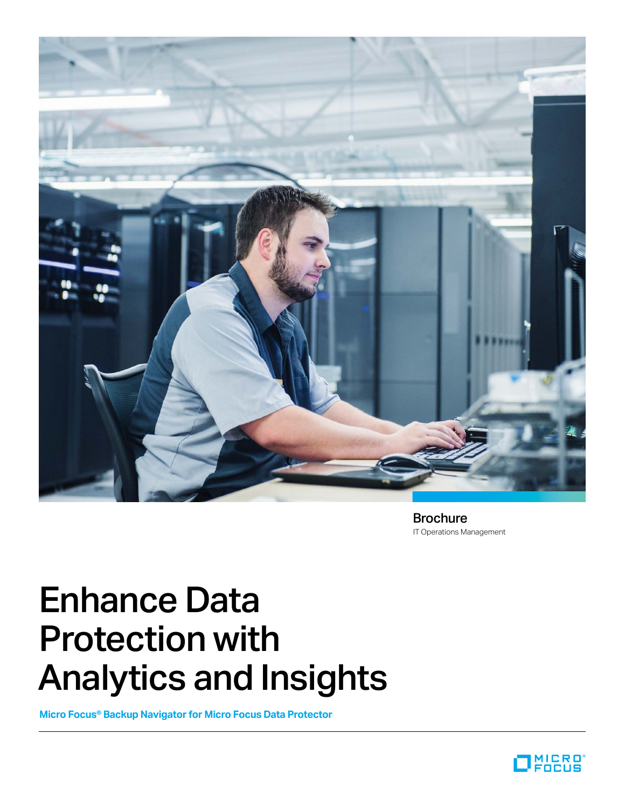

IT Operations Management Brochure

# Enhance Data Protection with Analytics and Insights

**Micro Focus® Backup Navigator for Micro Focus Data Protector**

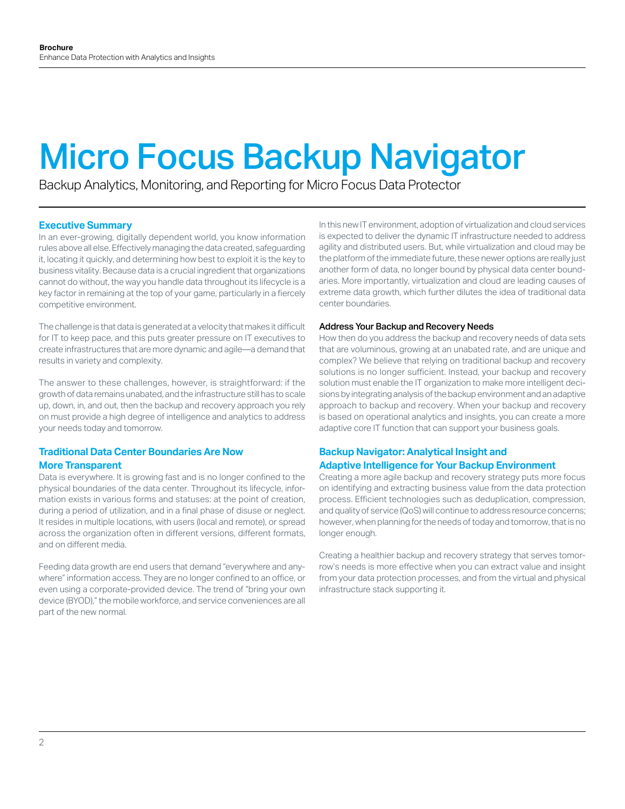# Micro Focus Backup Navigator

Backup Analytics, Monitoring, and Reporting for Micro Focus Data Protector

## **Executive Summary**

In an ever-growing, digitally dependent world, you know information rules above all else. Effectively managing the data created, safeguarding it, locating it quickly, and determining how best to exploit it is the key to business vitality. Because data is a crucial ingredient that organizations cannot do without, the way you handle data throughout its lifecycle is a key factor in remaining at the top of your game, particularly in a fiercely competitive environment.

The challenge is that data is generated at a velocity that makes it difficult for IT to keep pace, and this puts greater pressure on IT executives to create infrastructures that are more dynamic and agile—a demand that results in variety and complexity.

The answer to these challenges, however, is straightforward: if the growth of data remains unabated, and the infrastructure still has to scale up, down, in, and out, then the backup and recovery approach you rely on must provide a high degree of intelligence and analytics to address your needs today and tomorrow.

## **Traditional Data Center Boundaries Are Now More Transparent**

Data is everywhere. It is growing fast and is no longer confined to the physical boundaries of the data center. Throughout its lifecycle, information exists in various forms and statuses: at the point of creation, during a period of utilization, and in a final phase of disuse or neglect. It resides in multiple locations, with users (local and remote), or spread across the organization often in different versions, different formats, and on different media.

Feeding data growth are end users that demand "everywhere and anywhere" information access. They are no longer confined to an office, or even using a corporate-provided device. The trend of "bring your own device (BYOD)," the mobile workforce, and service conveniences are all part of the new normal.

In this new IT environment, adoption of virtualization and cloud services is expected to deliver the dynamic IT infrastructure needed to address agility and distributed users. But, while virtualization and cloud may be the platform of the immediate future, these newer options are really just another form of data, no longer bound by physical data center boundaries. More importantly, virtualization and cloud are leading causes of extreme data growth, which further dilutes the idea of traditional data center boundaries.

### Address Your Backup and Recovery Needs

How then do you address the backup and recovery needs of data sets that are voluminous, growing at an unabated rate, and are unique and complex? We believe that relying on traditional backup and recovery solutions is no longer sufficient. Instead, your backup and recovery solution must enable the IT organization to make more intelligent decisions by integrating analysis of the backup environment and an adaptive approach to backup and recovery. When your backup and recovery is based on operational analytics and insights, you can create a more adaptive core IT function that can support your business goals.

## **Backup Navigator: Analytical Insight and Adaptive Intelligence for Your Backup Environment**

Creating a more agile backup and recovery strategy puts more focus on identifying and extracting business value from the data protection process. Efficient technologies such as deduplication, compression, and quality of service (QoS) will continue to address resource concerns; however, when planning for the needs of today and tomorrow, that is no longer enough.

Creating a healthier backup and recovery strategy that serves tomorrow's needs is more effective when you can extract value and insight from your data protection processes, and from the virtual and physical infrastructure stack supporting it.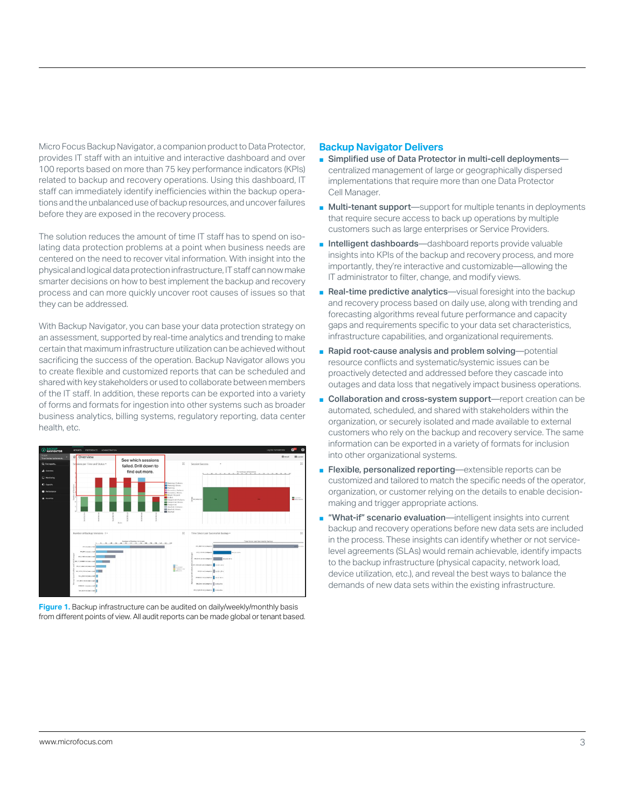Micro Focus Backup Navigator, a companion product to Data Protector, provides IT staff with an intuitive and interactive dashboard and over 100 reports based on more than 75 key performance indicators (KPIs) related to backup and recovery operations. Using this dashboard, IT staff can immediately identify inefficiencies within the backup operations and the unbalanced use of backup resources, and uncover failures before they are exposed in the recovery process.

The solution reduces the amount of time IT staff has to spend on isolating data protection problems at a point when business needs are centered on the need to recover vital information. With insight into the physical and logical data protection infrastructure, IT staff can now make smarter decisions on how to best implement the backup and recovery process and can more quickly uncover root causes of issues so that they can be addressed.

With Backup Navigator, you can base your data protection strategy on an assessment, supported by real-time analytics and trending to make certain that maximum infrastructure utilization can be achieved without sacrificing the success of the operation. Backup Navigator allows you to create flexible and customized reports that can be scheduled and shared with key stakeholders or used to collaborate between members of the IT staff. In addition, these reports can be exported into a variety of forms and formats for ingestion into other systems such as broader business analytics, billing systems, regulatory reporting, data center health, etc.



Figure 1. Backup infrastructure can be audited on daily/weekly/monthly basis from different points of view. All audit reports can be made global or tenant based.

### **Backup Navigator Delivers**

- Simplified use of Data Protector in multi-cell deployments centralized management of large or geographically dispersed implementations that require more than one Data Protector Cell Manager.
- Multi-tenant support—support for multiple tenants in deployments that require secure access to back up operations by multiple customers such as large enterprises or Service Providers.
- Intelligent dashboards—dashboard reports provide valuable insights into KPIs of the backup and recovery process, and more importantly, they're interactive and customizable—allowing the IT administrator to filter, change, and modify views.
- Real-time predictive analytics—visual foresight into the backup and recovery process based on daily use, along with trending and forecasting algorithms reveal future performance and capacity gaps and requirements specific to your data set characteristics, infrastructure capabilities, and organizational requirements.
- Rapid root-cause analysis and problem solving—potential resource conflicts and systematic/systemic issues can be proactively detected and addressed before they cascade into outages and data loss that negatively impact business operations.
- Collaboration and cross-system support—report creation can be automated, scheduled, and shared with stakeholders within the organization, or securely isolated and made available to external customers who rely on the backup and recovery service. The same information can be exported in a variety of formats for inclusion into other organizational systems.
- Flexible, personalized reporting—extensible reports can be customized and tailored to match the specific needs of the operator, organization, or customer relying on the details to enable decisionmaking and trigger appropriate actions.
- "What-if" scenario evaluation—intelligent insights into current backup and recovery operations before new data sets are included in the process. These insights can identify whether or not servicelevel agreements (SLAs) would remain achievable, identify impacts to the backup infrastructure (physical capacity, network load, device utilization, etc.), and reveal the best ways to balance the demands of new data sets within the existing infrastructure.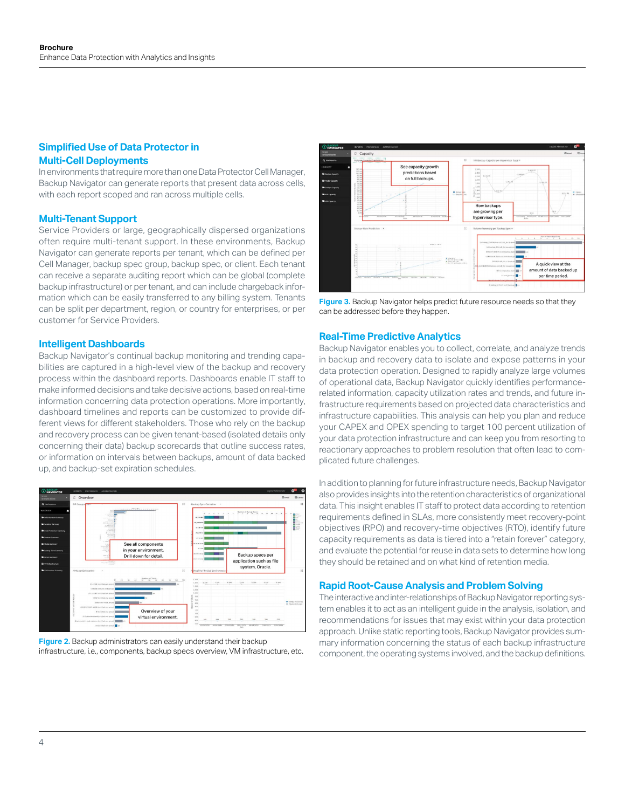# **Simplified Use of Data Protector in Multi-Cell Deployments**

In environments that require more than one Data Protector Cell Manager, Backup Navigator can generate reports that present data across cells, with each report scoped and ran across multiple cells.

#### **Multi-Tenant Support**

Service Providers or large, geographically dispersed organizations often require multi-tenant support. In these environments, Backup Navigator can generate reports per tenant, which can be defined per Cell Manager, backup spec group, backup spec, or client. Each tenant can receive a separate auditing report which can be global (complete backup infrastructure) or per tenant, and can include chargeback information which can be easily transferred to any billing system. Tenants can be split per department, region, or country for enterprises, or per customer for Service Providers.

#### **Intelligent Dashboards**

Backup Navigator's continual backup monitoring and trending capabilities are captured in a high-level view of the backup and recovery process within the dashboard reports. Dashboards enable IT staff to make informed decisions and take decisive actions, based on real-time information concerning data protection operations. More importantly, dashboard timelines and reports can be customized to provide different views for different stakeholders. Those who rely on the backup and recovery process can be given tenant-based (isolated details only concerning their data) backup scorecards that outline success rates, or information on intervals between backups, amount of data backed up, and backup-set expiration schedules.



**Figure 2.** Backup administrators can easily understand their backup infrastructure, i.e., components, backup specs overview, VM infrastructure, etc.



**Figure 3.** Backup Navigator helps predict future resource needs so that they can be addressed before they happen.

#### **Real-Time Predictive Analytics**

Backup Navigator enables you to collect, correlate, and analyze trends in backup and recovery data to isolate and expose patterns in your data protection operation. Designed to rapidly analyze large volumes of operational data, Backup Navigator quickly identifies performancerelated information, capacity utilization rates and trends, and future infrastructure requirements based on projected data characteristics and infrastructure capabilities. This analysis can help you plan and reduce your CAPEX and OPEX spending to target 100 percent utilization of your data protection infrastructure and can keep you from resorting to reactionary approaches to problem resolution that often lead to complicated future challenges.

In addition to planning for future infrastructure needs, Backup Navigator also provides insights into the retention characteristics of organizational data. This insight enables IT staff to protect data according to retention requirements defined in SLAs, more consistently meet recovery-point objectives (RPO) and recovery-time objectives (RTO), identify future capacity requirements as data is tiered into a "retain forever" category, and evaluate the potential for reuse in data sets to determine how long they should be retained and on what kind of retention media.

#### **Rapid Root-Cause Analysis and Problem Solving**

The interactive and inter-relationships of Backup Navigator reporting system enables it to act as an intelligent guide in the analysis, isolation, and recommendations for issues that may exist within your data protection approach. Unlike static reporting tools, Backup Navigator provides summary information concerning the status of each backup infrastructure component, the operating systems involved, and the backup definitions.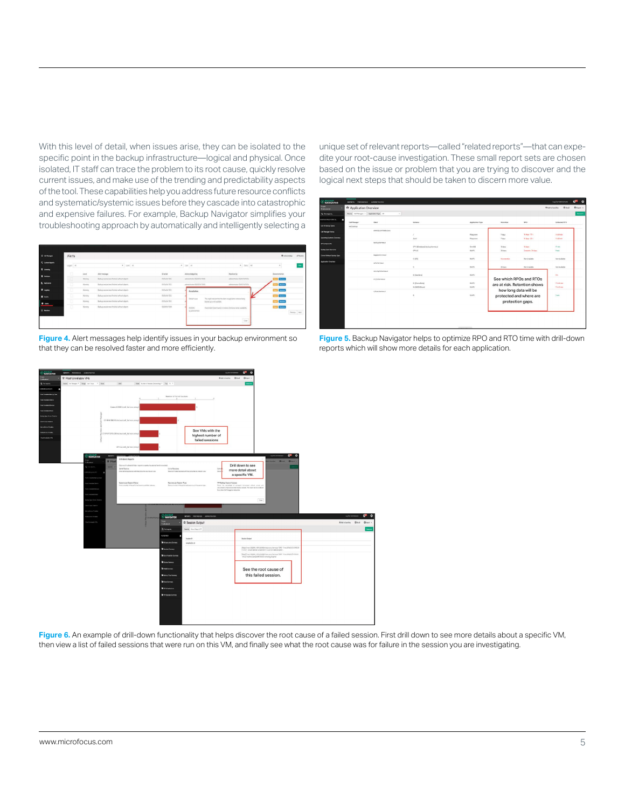With this level of detail, when issues arise, they can be isolated to the specific point in the backup infrastructure—logical and physical. Once isolated, IT staff can trace the problem to its root cause, quickly resolve current issues, and make use of the trending and predictability aspects of the tool. These capabilities help you address future resource conflicts and systematic/systemic issues before they cascade into catastrophic and expensive failures. For example, Backup Navigator simplifies your troubleshooting approach by automatically and intelligently selecting a



**Figure 4.** Alert messages help identify issues in your backup environment so that they can be resolved faster and more efficiently.

unique set of relevant reports—called "related reports"—that can expedite your root-cause investigation. These small report sets are chosen based on the issue or problem that you are trying to discover and the logical next steps that should be taken to discern more value.

| <b>O RACICUP</b>           | <b>BECON PRESENCE ADMINISTRATION</b>       |                                    |                                        |                        |                                                                                                                                 |                                      | Log Our Administrator                | $\bullet$<br>G <sup>2</sup> |
|----------------------------|--------------------------------------------|------------------------------------|----------------------------------------|------------------------|---------------------------------------------------------------------------------------------------------------------------------|--------------------------------------|--------------------------------------|-----------------------------|
| Sopra<br>Mathemati         | * Application Overview                     |                                    |                                        |                        |                                                                                                                                 |                                      |                                      | O tiput .                   |
| <b>Q</b> FRENDON.          | Source Coll Hampson . Application Tape All | ٠                                  |                                        |                        |                                                                                                                                 |                                      |                                      | Common                      |
| 4 BUSINESS ATLANTA<br>п    | Call Manager<br>Client                     |                                    | Initiated                              | Application Type       | Retention                                                                                                                       | RPO                                  | Evilented RTO                        |                             |
| List of Birdsip Spies      | cut tamp                                   |                                    |                                        |                        |                                                                                                                                 |                                      |                                      |                             |
| Cut Manager Status         |                                            | america.com/radio.com/             |                                        |                        |                                                                                                                                 |                                      |                                      |                             |
| Operating Systems Conview  |                                            |                                    | ×<br><b>hort</b>                       | Flatythen<br>Floorence | 7 deut<br>7005                                                                                                                  | <b>34 days 23 V</b><br>94 days 25 to | <b>In Street</b><br><b>Th SS min</b> |                             |
| <b>DP Components</b>       |                                            | harica harmas di                   |                                        |                        |                                                                                                                                 |                                      |                                      |                             |
| <b>Badne See: Overview</b> |                                            |                                    | CPY/(Detabase) backup/hermes.sl        | Onvitrit               | 13 dwg                                                                                                                          | 15 days                              | 17 p.in.                             |                             |
|                            |                                            | begoine/hermes.of                  | ON IC                                  | NeFS.                  | 28 dem                                                                                                                          | Texants 24 days                      | <b>Train</b>                         |                             |
| Clerk Without Earling Spot |                                            |                                    | cross                                  | NV-FS                  | <b>No extention</b>                                                                                                             | Not Available                        | Not Available                        |                             |
| Application Detroites      | colo.hormos.pl                             |                                    |                                        |                        |                                                                                                                                 |                                      |                                      |                             |
|                            |                                            | asre kg fsboressal.                | $\mathbb{C}$                           | NHFS.                  | 28 days                                                                                                                         | Not Available                        | Not Available                        |                             |
|                            |                                            |                                    | 8 (like Ou's)                          | NV45                   |                                                                                                                                 |                                      | <b>Th</b>                            |                             |
|                            |                                            | <b><i><i>D-1-Szkermake</i></i></b> |                                        |                        | See which RPOs and RTOs<br>are at risk. Retention shows<br>how long data will be<br>protected and where are<br>protection gaps. |                                      |                                      |                             |
|                            |                                            |                                    | 0. Dharadhete)<br><b>M DISCRITAINS</b> | <b>NVRS</b><br>no PS   |                                                                                                                                 |                                      | 7 h All value<br>78.42 min           |                             |
|                            |                                            | subura/weeken.al                   |                                        |                        |                                                                                                                                 |                                      |                                      |                             |
|                            |                                            |                                    | $\mathbb{R}$                           | $10 - 75$              |                                                                                                                                 |                                      | $2$ min                              |                             |
|                            |                                            |                                    |                                        |                        |                                                                                                                                 |                                      |                                      |                             |





**Figure 6.** An example of drill-down functionality that helps discover the root cause of a failed session. First drill down to see more details about a specific VM, then view a list of failed sessions that were run on this VM, and finally see what the root cause was for failure in the session you are investigating.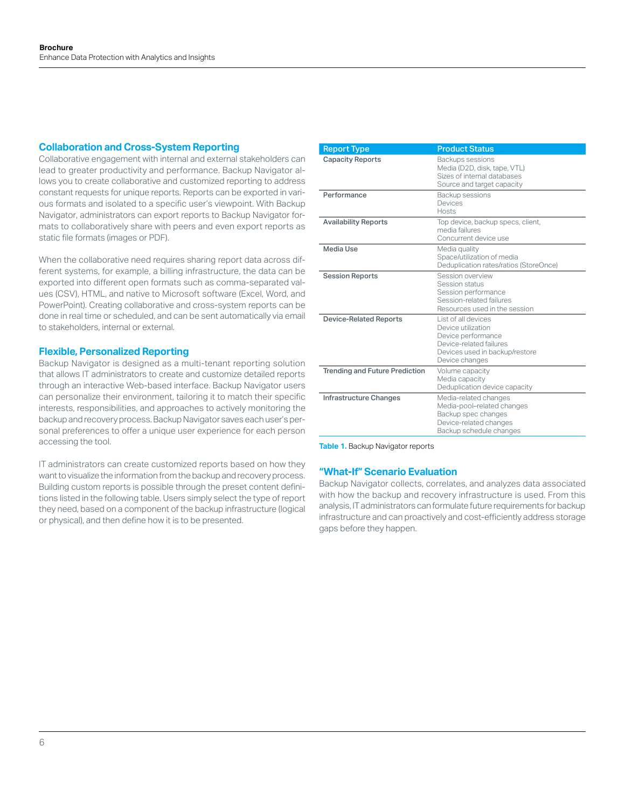## **Collaboration and Cross-System Reporting**

Collaborative engagement with internal and external stakeholders can lead to greater productivity and performance. Backup Navigator allows you to create collaborative and customized reporting to address constant requests for unique reports. Reports can be exported in various formats and isolated to a specific user's viewpoint. With Backup Navigator, administrators can export reports to Backup Navigator formats to collaboratively share with peers and even export reports as static file formats (images or PDF).

When the collaborative need requires sharing report data across different systems, for example, a billing infrastructure, the data can be exported into different open formats such as comma-separated values (CSV), HTML, and native to Microsoft software (Excel, Word, and PowerPoint). Creating collaborative and cross-system reports can be done in real time or scheduled, and can be sent automatically via email to stakeholders, internal or external.

## **Flexible, Personalized Reporting**

Backup Navigator is designed as a multi-tenant reporting solution that allows IT administrators to create and customize detailed reports through an interactive Web-based interface. Backup Navigator users can personalize their environment, tailoring it to match their specific interests, responsibilities, and approaches to actively monitoring the backup and recovery process. Backup Navigator saves each user's personal preferences to offer a unique user experience for each person accessing the tool.

IT administrators can create customized reports based on how they want to visualize the information from the backup and recovery process. Building custom reports is possible through the preset content definitions listed in the following table. Users simply select the type of report they need, based on a component of the backup infrastructure (logical or physical), and then define how it is to be presented.

| <b>Report Type</b>                    | <b>Product Status</b>                                                                                                                          |
|---------------------------------------|------------------------------------------------------------------------------------------------------------------------------------------------|
| <b>Capacity Reports</b>               | Backups sessions<br>Media (D2D, disk, tape, VTL)<br>Sizes of internal databases<br>Source and target capacity                                  |
| Performance                           | Backup sessions<br>Devices<br><b>Hosts</b>                                                                                                     |
| <b>Availability Reports</b>           | Top device, backup specs, client,<br>media failures<br>Concurrent device use                                                                   |
| Media Use                             | Media quality<br>Space/utilization of media<br>Deduplication rates/ratios (StoreOnce)                                                          |
| <b>Session Reports</b>                | Session overview<br>Session status<br>Session performance<br>Session-related failures<br>Resources used in the session                         |
| <b>Device-Related Reports</b>         | List of all devices<br>Device utilization<br>Device performance<br>Device-related failures<br>Devices used in backup/restore<br>Device changes |
| <b>Trending and Future Prediction</b> | Volume capacity<br>Media capacity<br>Deduplication device capacity                                                                             |
| <b>Infrastructure Changes</b>         | Media-related changes<br>Media-pool-related changes<br>Backup spec changes<br>Device-related changes<br>Backup schedule changes                |

**Table 1.** Backup Navigator reports

#### **"What-If" Scenario Evaluation**

Backup Navigator collects, correlates, and analyzes data associated with how the backup and recovery infrastructure is used. From this analysis, IT administrators can formulate future requirements for backup infrastructure and can proactively and cost-efficiently address storage gaps before they happen.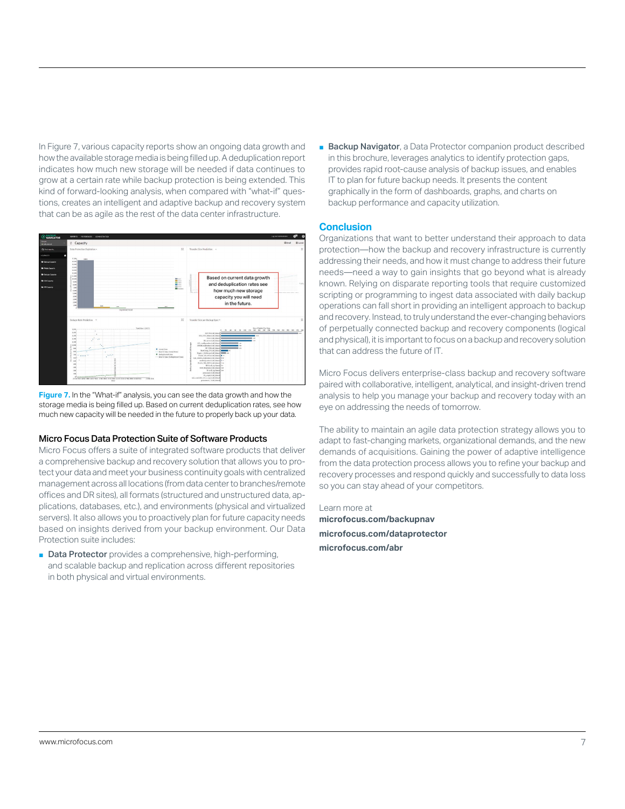In Figure 7, various capacity reports show an ongoing data growth and how the available storage media is being filled up. A deduplication report indicates how much new storage will be needed if data continues to grow at a certain rate while backup protection is being extended. This kind of forward-looking analysis, when compared with "what-if" questions, creates an intelligent and adaptive backup and recovery system that can be as agile as the rest of the data center infrastructure.



**Figure 7.** In the "What-if" analysis, you can see the data growth and how the storage media is being filled up. Based on current deduplication rates, see how much new capacity will be needed in the future to properly back up your data.

#### Micro Focus Data Protection Suite of Software Products

Micro Focus offers a suite of integrated software products that deliver a comprehensive backup and recovery solution that allows you to protect your data and meet your business continuity goals with centralized management across all locations (from data center to branches/remote offices and DR sites), all formats (structured and unstructured data, applications, databases, etc.), and environments (physical and virtualized servers). It also allows you to proactively plan for future capacity needs based on insights derived from your backup environment. Our Data Protection suite includes:

■ Data Protector provides a comprehensive, high-performing, and scalable backup and replication across different repositories in both physical and virtual environments.

■ Backup Navigator, a Data Protector companion product described in this brochure, leverages analytics to identify protection gaps, provides rapid root-cause analysis of backup issues, and enables IT to plan for future backup needs. It presents the content graphically in the form of dashboards, graphs, and charts on backup performance and capacity utilization.

#### **Conclusion**

Organizations that want to better understand their approach to data protection—how the backup and recovery infrastructure is currently addressing their needs, and how it must change to address their future needs—need a way to gain insights that go beyond what is already known. Relying on disparate reporting tools that require customized scripting or programming to ingest data associated with daily backup operations can fall short in providing an intelligent approach to backup and recovery. Instead, to truly understand the ever-changing behaviors of perpetually connected backup and recovery components (logical and physical), it is important to focus on a backup and recovery solution that can address the future of IT.

Micro Focus delivers enterprise-class backup and recovery software paired with collaborative, intelligent, analytical, and insight-driven trend analysis to help you manage your backup and recovery today with an eye on addressing the needs of tomorrow.

The ability to maintain an agile data protection strategy allows you to adapt to fast-changing markets, organizational demands, and the new demands of acquisitions. Gaining the power of adaptive intelligence from the data protection process allows you to refine your backup and recovery processes and respond quickly and successfully to data loss so you can stay ahead of your competitors.

Learn more at **[microfocus.com/backupnav](http://www.microfocus.com/backupnav) [microfocus.com/dataprotector](http://www.microfocus.com/dataprotector)  [microfocus.com/abr](http://www.microfocus.com/abr)**